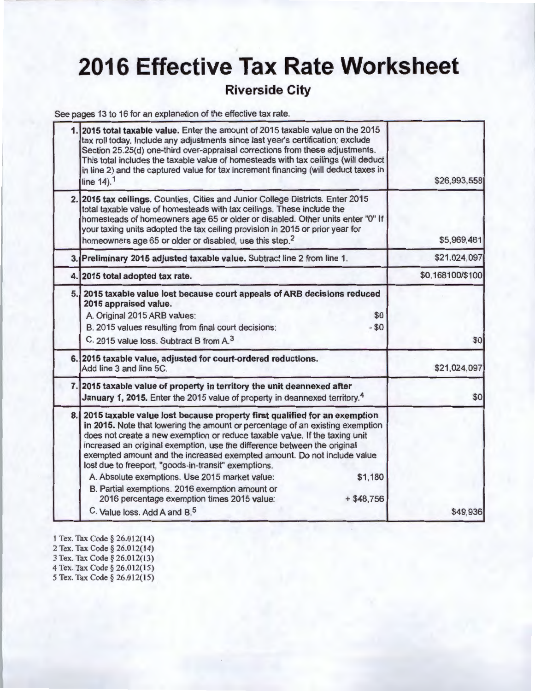## **2016 Effective Tax Rate Worksheet**

### **Riverside City**

See pages 13 to 16 for an explanation of the effective tax rate.

| 2015 total taxable value. Enter the amount of 2015 taxable value on the 2015<br>tax roll today. Include any adjustments since last year's certification; exclude<br>Section 25.25(d) one-third over-appraisal corrections from these adjustments.<br>This total includes the taxable value of homesteads with tax ceilings (will deduct<br>in line 2) and the captured value for tax increment financing (will deduct taxes in<br>line 14). <sup>1</sup>                                                                                                                                                                                                                              | \$26,993,558     |
|---------------------------------------------------------------------------------------------------------------------------------------------------------------------------------------------------------------------------------------------------------------------------------------------------------------------------------------------------------------------------------------------------------------------------------------------------------------------------------------------------------------------------------------------------------------------------------------------------------------------------------------------------------------------------------------|------------------|
| 2. 2015 tax ceilings. Counties, Cities and Junior College Districts. Enter 2015<br>total taxable value of homesteads with tax ceilings. These include the<br>homesteads of homeowners age 65 or older or disabled. Other units enter "0" If<br>your taxing units adopted the tax ceiling provision in 2015 or prior year for<br>homeowners age 65 or older or disabled, use this step. <sup>2</sup>                                                                                                                                                                                                                                                                                   | \$5,969,461      |
| 3. Preliminary 2015 adjusted taxable value. Subtract line 2 from line 1.                                                                                                                                                                                                                                                                                                                                                                                                                                                                                                                                                                                                              | \$21,024,097     |
| 4. 2015 total adopted tax rate.                                                                                                                                                                                                                                                                                                                                                                                                                                                                                                                                                                                                                                                       | \$0.168100/\$100 |
| 5. 2015 taxable value lost because court appeals of ARB decisions reduced<br>2015 appraised value.<br>A. Original 2015 ARB values:<br>\$0<br>B. 2015 values resulting from final court decisions:<br>$- $0$<br>C. 2015 value loss. Subtract B from A. <sup>3</sup>                                                                                                                                                                                                                                                                                                                                                                                                                    | \$0              |
| 6. 2015 taxable value, adjusted for court-ordered reductions.<br>Add line 3 and line 5C.                                                                                                                                                                                                                                                                                                                                                                                                                                                                                                                                                                                              | \$21,024,097     |
| 7. 2015 taxable value of property in territory the unit deannexed after<br>January 1, 2015. Enter the 2015 value of property in deannexed territory. <sup>4</sup>                                                                                                                                                                                                                                                                                                                                                                                                                                                                                                                     | \$0              |
| 8. 2015 taxable value lost because property first qualified for an exemption<br>in 2015. Note that lowering the amount or percentage of an existing exemption<br>does not create a new exemption or reduce taxable value. If the taxing unit<br>increased an original exemption, use the difference between the original<br>exempted amount and the increased exempted amount. Do not include value<br>lost due to freeport, "goods-in-transit" exemptions.<br>\$1,180<br>A. Absolute exemptions. Use 2015 market value:<br>B. Partial exemptions. 2016 exemption amount or<br>2016 percentage exemption times 2015 value:<br>$+ $48,756$<br>C. Value loss, Add A and B. <sup>5</sup> | \$49,936         |

- 1 Tex. Tax Code § 26.012(14) 2 Tex. Tax Code § 26.012(14) 3 Tex. Tax Code§ 26.01 2(13) 4 Tex. Tax Code § 26.012(15)
- 5 Tex. Tax Code§ 26.01 2(15)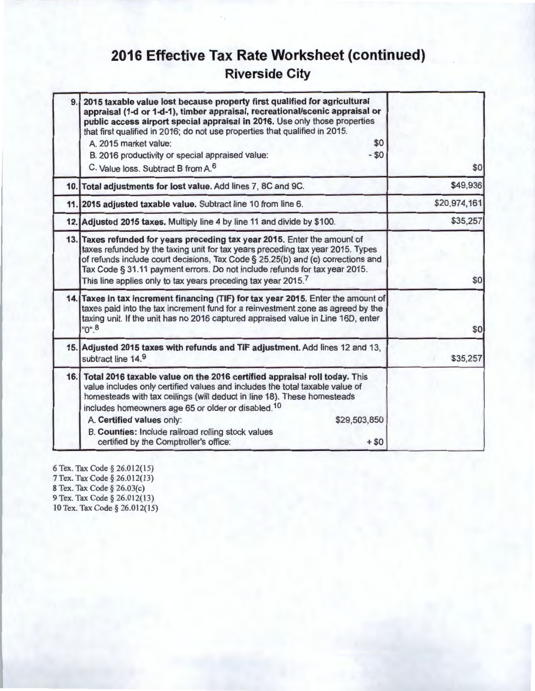## **2016 Effective Tax Rate Worksheet (continued) Riverside City**

| 9 | 2015 taxable value lost because property first qualified for agricultural<br>appraisal (1-d or 1-d-1), timber appraisal, recreational/scenic appraisal or<br>public access airport special appraisal in 2016. Use only those properties<br>that first qualified in 2016; do not use properties that qualified in 2015.<br>\$0<br>A. 2015 market value:<br>$-$ \$0<br>B. 2016 productivity or special appraised value:<br>C. Value loss. Subtract B from A. <sup>6</sup> | \$0          |
|---|-------------------------------------------------------------------------------------------------------------------------------------------------------------------------------------------------------------------------------------------------------------------------------------------------------------------------------------------------------------------------------------------------------------------------------------------------------------------------|--------------|
|   | 10. Total adjustments for lost value. Add lines 7, 8C and 9C.                                                                                                                                                                                                                                                                                                                                                                                                           | \$49,936     |
|   | 11. 2015 adjusted taxable value. Subtract line 10 from line 6.                                                                                                                                                                                                                                                                                                                                                                                                          | \$20,974,161 |
|   | 12. Adjusted 2015 taxes. Multiply line 4 by line 11 and divide by \$100.                                                                                                                                                                                                                                                                                                                                                                                                | \$35,257     |
|   | 13. Taxes refunded for years preceding tax year 2015. Enter the amount of<br>taxes refunded by the taxing unit for tax years preceding tax year 2015. Types<br>of refunds include court decisions, Tax Code § 25.25(b) and (c) corrections and<br>Tax Code § 31.11 payment errors. Do not include refunds for tax year 2015.<br>This line applies only to tax years preceding tax year 2015.7                                                                           | \$0          |
|   | 14. Taxes in tax increment financing (TIF) for tax year 2015. Enter the amount of<br>taxes paid into the tax increment fund for a reinvestment zone as agreed by the<br>taxing unit. If the unit has no 2016 captured appraised value in Line 16D, enter<br>$"0"$ <sup>8</sup>                                                                                                                                                                                          | \$0          |
|   | 15. Adjusted 2015 taxes with refunds and TIF adjustment. Add lines 12 and 13,<br>subtract line 14.9                                                                                                                                                                                                                                                                                                                                                                     | \$35,257     |
|   | 16. Total 2016 taxable value on the 2016 certified appraisal roll today. This<br>value includes only certified values and includes the total taxable value of<br>homesteads with tax ceilings (will deduct in line 18). These homesteads<br>includes homeowners age 65 or older or disabled. <sup>10</sup><br>A. Certified values only:<br>\$29,503,850<br>B. Counties: Include railroad rolling stock values<br>certified by the Comptroller's office:<br>$+ $0$       |              |

6 Tex. Tax Code § 26.01 2(15) 7 Tex. Tax Code § 26.01 2(13) 8 Tex. Tax Code § 26.03(c) 9 Tex. Tax Code § 26.012(13) 10 Tex. Tax Code § 26.012(15)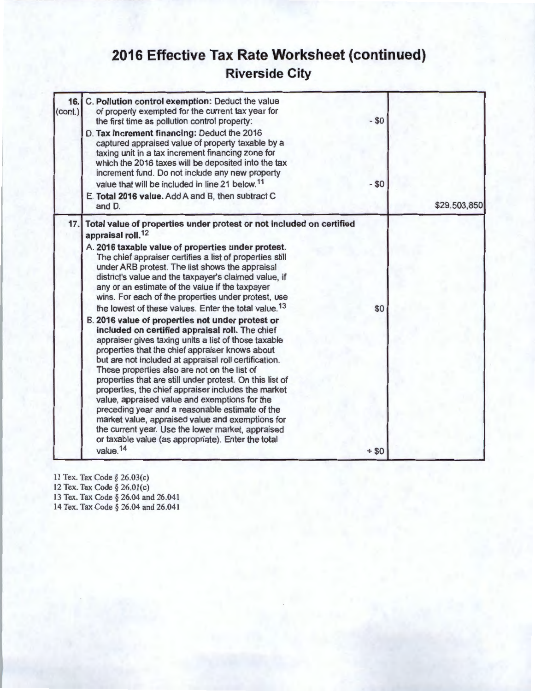## **2016 Effective Tax Rate Worksheet (continued) Riverside City**

| 16.<br>(cont.) | C. Pollution control exemption: Deduct the value<br>of property exempted for the current tax year for<br>the first time as pollution control property:<br>D. Tax increment financing: Deduct the 2016<br>captured appraised value of property taxable by a<br>taxing unit in a tax increment financing zone for<br>which the 2016 taxes will be deposited into the tax<br>increment fund. Do not include any new property<br>value that will be included in line 21 below. <sup>11</sup>                                                                                                                                                                                                                                                                                                                                                                                                                                                                                                                                                                                                                                                                                                                                                                   | $-$ \$0<br>$- $0$ |              |
|----------------|------------------------------------------------------------------------------------------------------------------------------------------------------------------------------------------------------------------------------------------------------------------------------------------------------------------------------------------------------------------------------------------------------------------------------------------------------------------------------------------------------------------------------------------------------------------------------------------------------------------------------------------------------------------------------------------------------------------------------------------------------------------------------------------------------------------------------------------------------------------------------------------------------------------------------------------------------------------------------------------------------------------------------------------------------------------------------------------------------------------------------------------------------------------------------------------------------------------------------------------------------------|-------------------|--------------|
|                | E. Total 2016 value. Add A and B, then subtract C<br>and D.                                                                                                                                                                                                                                                                                                                                                                                                                                                                                                                                                                                                                                                                                                                                                                                                                                                                                                                                                                                                                                                                                                                                                                                                |                   | \$29,503,850 |
| 17.            | Total value of properties under protest or not included on certified<br>appraisal roll. <sup>12</sup><br>A. 2016 taxable value of properties under protest.<br>The chief appraiser certifies a list of properties still<br>under ARB protest. The list shows the appraisal<br>district's value and the taxpayer's claimed value, if<br>any or an estimate of the value if the taxpayer<br>wins. For each of the properties under protest, use<br>the lowest of these values. Enter the total value. <sup>13</sup><br>B. 2016 value of properties not under protest or<br>included on certified appraisal roll. The chief<br>appraiser gives taxing units a list of those taxable<br>properties that the chief appraiser knows about<br>but are not included at appraisal roll certification.<br>These properties also are not on the list of<br>properties that are still under protest. On this list of<br>properties, the chief appraiser includes the market<br>value, appraised value and exemptions for the<br>preceding year and a reasonable estimate of the<br>market value, appraised value and exemptions for<br>the current year. Use the lower market, appraised<br>or taxable value (as appropriate). Enter the total<br>value. <sup>14</sup> | \$0<br>$+ $0$     |              |

11 Tex. Tax Code§ 26.03(c) 12 Tex. Tax Code § 26.01(c)

13 Tex. Tax Code § 26.04 and 26.041

14 Tex. Tax Code § 26.04 and 26.041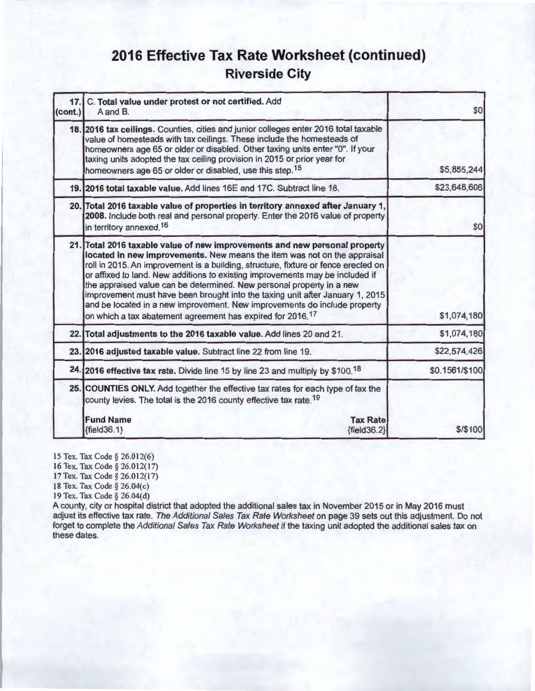## **2016 Effective Tax Rate Worksheet (continued) Riverside City**

| 17.1<br>(cont.) | C. Total value under protest or not certified. Add<br>A and B.                                                                                                                                                                                                                                                                                                                                                                                                                                                                                                                                                                                 | \$0            |
|-----------------|------------------------------------------------------------------------------------------------------------------------------------------------------------------------------------------------------------------------------------------------------------------------------------------------------------------------------------------------------------------------------------------------------------------------------------------------------------------------------------------------------------------------------------------------------------------------------------------------------------------------------------------------|----------------|
|                 | 18. 2016 tax ceilings. Counties, cities and junior colleges enter 2016 total taxable<br>value of homesteads with tax ceilings. These include the homesteads of<br>homeowners age 65 or older or disabled. Other taxing units enter "0". If your<br>taxing units adopted the tax ceiling provision in 2015 or prior year for<br>homeowners age 65 or older or disabled, use this step. <sup>15</sup>                                                                                                                                                                                                                                            | \$5,855,244    |
|                 | 19. 2016 total taxable value. Add lines 16E and 17C. Subtract line 18.                                                                                                                                                                                                                                                                                                                                                                                                                                                                                                                                                                         | \$23,648,606   |
|                 | 20. Total 2016 taxable value of properties in territory annexed after January 1,<br>2008. Include both real and personal property. Enter the 2016 value of property<br>in territory annexed. <sup>16</sup>                                                                                                                                                                                                                                                                                                                                                                                                                                     | \$0            |
|                 | 21. Total 2016 taxable value of new improvements and new personal property<br>located in new improvements. New means the item was not on the appraisal<br>roll in 2015. An improvement is a building, structure, fixture or fence erected on<br>or affixed to land. New additions to existing improvements may be included if<br>the appraised value can be determined. New personal property in a new<br>improvement must have been brought into the taxing unit after January 1, 2015<br>and be located in a new improvement. New improvements do include property<br>on which a tax abatement agreement has expired for 2016. <sup>17</sup> | \$1,074,180    |
|                 | 22. Total adjustments to the 2016 taxable value. Add lines 20 and 21.                                                                                                                                                                                                                                                                                                                                                                                                                                                                                                                                                                          | \$1,074,180    |
|                 | 23. 2016 adjusted taxable value. Subtract line 22 from line 19.                                                                                                                                                                                                                                                                                                                                                                                                                                                                                                                                                                                | \$22,574,426   |
|                 | 24. 2016 effective tax rate. Divide line 15 by line 23 and multiply by \$100.18                                                                                                                                                                                                                                                                                                                                                                                                                                                                                                                                                                | \$0.1561/\$100 |
|                 | 25. COUNTIES ONLY. Add together the effective tax rates for each type of tax the<br>county levies. The total is the 2016 county effective tax rate. <sup>19</sup>                                                                                                                                                                                                                                                                                                                                                                                                                                                                              |                |
|                 | <b>Fund Name</b><br><b>Tax Rate</b><br>${fields.1}$<br>${fields2}$                                                                                                                                                                                                                                                                                                                                                                                                                                                                                                                                                                             | \$/\$100       |

15 Tex. Tax Code § 26.012(6)

16 Tex. Tax Code § 26.012(17)

17 Tex. Tax Code§ 26.012(17)

18 Tex. Tax Code § 26.04(c)

19 Tex. Tax Code§ 26.04(d)

A county, city or hospital district that adopted the additional sales tax in November 2015 or in May 2016 must adjust its effective tax rate. The Additional Sales Tax Rate Worksheet on page 39 sets out this adjustment. Do not forget to complete the Additional Sales Tax Rate Worksheet if the taxing unit adopted the additional sales tax on these dates.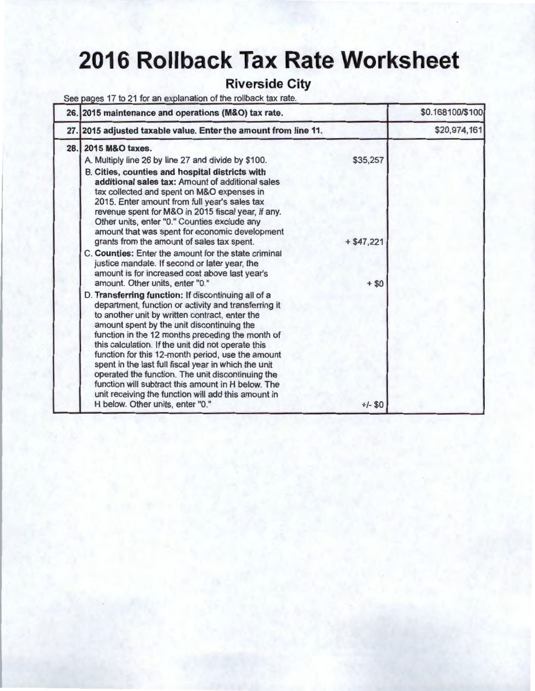# **2016 Rollback Tax Rate Worksheet**

### **Riverside City**

See pages 17 to 21 for an explanation of the rollback tax rate.

| 26. 2015 maintenance and operations (M&O) tax rate.                                                                                                                                                                                                                                                                                                                                                                                                                                                                                                                                                                                      |             | \$0.168100/\$100 |
|------------------------------------------------------------------------------------------------------------------------------------------------------------------------------------------------------------------------------------------------------------------------------------------------------------------------------------------------------------------------------------------------------------------------------------------------------------------------------------------------------------------------------------------------------------------------------------------------------------------------------------------|-------------|------------------|
| 27. 2015 adjusted taxable value. Enter the amount from line 11.                                                                                                                                                                                                                                                                                                                                                                                                                                                                                                                                                                          |             | \$20,974,161     |
| 28. 2015 M&O taxes.                                                                                                                                                                                                                                                                                                                                                                                                                                                                                                                                                                                                                      | \$35,257    |                  |
| A. Multiply line 26 by line 27 and divide by \$100.<br>B. Cities, counties and hospital districts with<br>additional sales tax: Amount of additional sales<br>tax collected and spent on M&O expenses in<br>2015. Enter amount from full year's sales tax<br>revenue spent for M&O in 2015 fiscal year, if any.<br>Other units, enter "0." Counties exclude any<br>amount that was spent for economic development<br>grants from the amount of sales tax spent.                                                                                                                                                                          | $+ $47,221$ |                  |
| C. Counties: Enter the amount for the state criminal<br>justice mandate. If second or later year, the<br>amount is for increased cost above last year's<br>amount. Other units, enter "0."                                                                                                                                                                                                                                                                                                                                                                                                                                               | $+ $0$      |                  |
| D. Transferring function: If discontinuing all of a<br>department, function or activity and transferring it<br>to another unit by written contract, enter the<br>amount spent by the unit discontinuing the<br>function in the 12 months preceding the month of<br>this calculation. If the unit did not operate this<br>function for this 12-month period, use the amount<br>spent in the last full fiscal year in which the unit<br>operated the function. The unit discontinuing the<br>function will subtract this amount in H below. The<br>unit receiving the function will add this amount in<br>H below. Other units, enter "0." | $+/- $0$    |                  |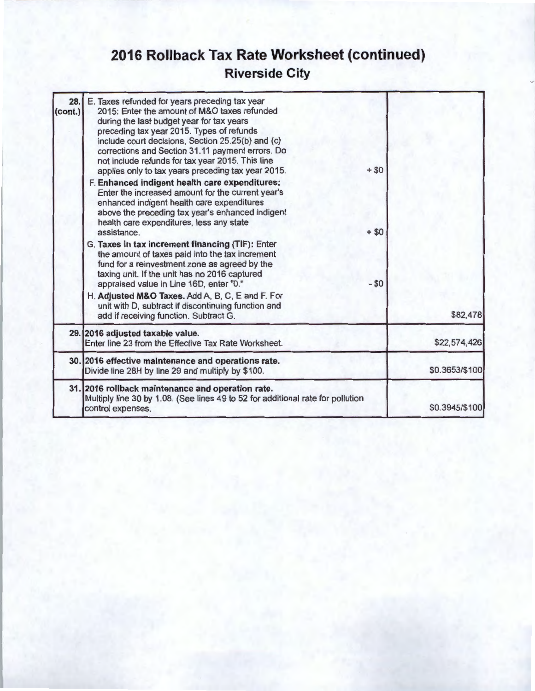## **2016 Rollback Tax Rate Worksheet (continued) Riverside City**

| 28.<br>(cont.) | E. Taxes refunded for years preceding tax year<br>2015: Enter the amount of M&O taxes refunded<br>during the last budget year for tax years<br>preceding tax year 2015. Types of refunds<br>include court decisions, Section 25.25(b) and (c)<br>corrections and Section 31.11 payment errors. Do<br>not include refunds for tax year 2015. This line<br>applies only to tax years preceding tax year 2015.<br>F. Enhanced indigent health care expenditures:<br>Enter the increased amount for the current year's<br>enhanced indigent health care expenditures<br>above the preceding tax year's enhanced indigent | $+ $0$           |                |
|----------------|----------------------------------------------------------------------------------------------------------------------------------------------------------------------------------------------------------------------------------------------------------------------------------------------------------------------------------------------------------------------------------------------------------------------------------------------------------------------------------------------------------------------------------------------------------------------------------------------------------------------|------------------|----------------|
|                | health care expenditures, less any state<br>assistance.<br>G. Taxes in tax increment financing (TIF): Enter<br>the amount of taxes paid into the tax increment<br>fund for a reinvestment zone as agreed by the<br>taxing unit. If the unit has no 2016 captured<br>appraised value in Line 16D, enter "0."                                                                                                                                                                                                                                                                                                          | $+ $0$<br>$- $0$ |                |
|                | H. Adjusted M&O Taxes. Add A, B, C, E and F. For<br>unit with D, subtract if discontinuing function and<br>add if receiving function. Subtract G.                                                                                                                                                                                                                                                                                                                                                                                                                                                                    |                  | \$82,478       |
|                | 29. 2016 adjusted taxable value.<br>Enter line 23 from the Effective Tax Rate Worksheet.                                                                                                                                                                                                                                                                                                                                                                                                                                                                                                                             |                  | \$22,574,426   |
|                | 30. 2016 effective maintenance and operations rate.<br>Divide line 28H by line 29 and multiply by \$100.                                                                                                                                                                                                                                                                                                                                                                                                                                                                                                             |                  | \$0.3653/\$100 |
|                | 31. 2016 rollback maintenance and operation rate.<br>Multiply line 30 by 1.08. (See lines 49 to 52 for additional rate for pollution<br>control expenses.                                                                                                                                                                                                                                                                                                                                                                                                                                                            |                  | \$0.3945/\$100 |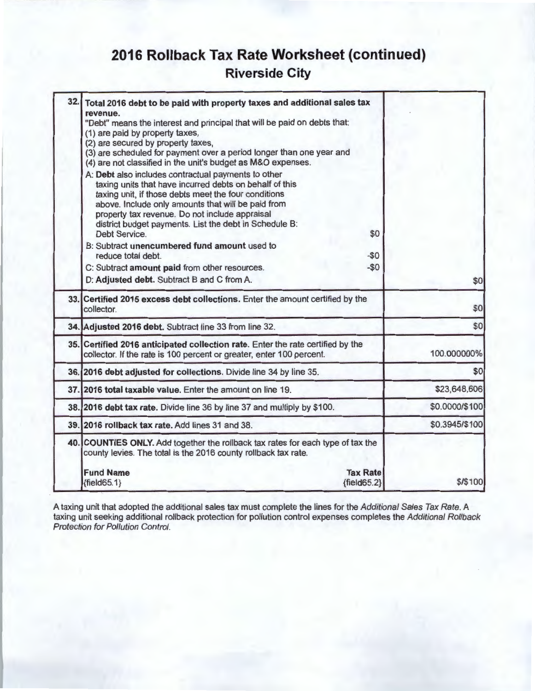## **2016 Rollback Tax Rate Worksheet (continued) Riverside City**

| 32. | Total 2016 debt to be paid with property taxes and additional sales tax                                                                                                                                                                                                        |                |
|-----|--------------------------------------------------------------------------------------------------------------------------------------------------------------------------------------------------------------------------------------------------------------------------------|----------------|
|     | revenue.                                                                                                                                                                                                                                                                       |                |
|     | "Debt" means the interest and principal that will be paid on debts that:<br>(1) are paid by property taxes,                                                                                                                                                                    |                |
|     | (2) are secured by property taxes,                                                                                                                                                                                                                                             |                |
|     | (3) are scheduled for payment over a period longer than one year and                                                                                                                                                                                                           |                |
|     | (4) are not classified in the unit's budget as M&O expenses.                                                                                                                                                                                                                   |                |
|     | A: Debt also includes contractual payments to other<br>taxing units that have incurred debts on behalf of this<br>taxing unit, if those debts meet the four conditions<br>above. Include only amounts that will be paid from<br>property tax revenue. Do not include appraisal |                |
|     | district budget payments. List the debt in Schedule B:                                                                                                                                                                                                                         |                |
|     | Debt Service.<br>\$0                                                                                                                                                                                                                                                           |                |
|     | B: Subtract unencumbered fund amount used to<br>reduce total debt.<br>$-$0$                                                                                                                                                                                                    |                |
|     | $-$0$<br>C: Subtract amount paid from other resources.                                                                                                                                                                                                                         |                |
|     | D: Adjusted debt. Subtract B and C from A.                                                                                                                                                                                                                                     | \$0            |
|     | 33. Certified 2015 excess debt collections. Enter the amount certified by the<br>collector.                                                                                                                                                                                    | \$0            |
|     | 34. Adjusted 2016 debt. Subtract line 33 from line 32.                                                                                                                                                                                                                         | \$0            |
|     | 35. Certified 2016 anticipated collection rate. Enter the rate certified by the<br>collector. If the rate is 100 percent or greater, enter 100 percent.                                                                                                                        | 100.000000%    |
|     | 36. 2016 debt adjusted for collections. Divide line 34 by line 35.                                                                                                                                                                                                             | \$0            |
|     | 37. 2016 total taxable value. Enter the amount on line 19.                                                                                                                                                                                                                     | \$23,648,606   |
|     | 38. 2016 debt tax rate. Divide line 36 by line 37 and multiply by \$100.                                                                                                                                                                                                       | \$0.0000/\$100 |
|     | 39. 2016 rollback tax rate. Add lines 31 and 38.                                                                                                                                                                                                                               | \$0.3945/\$100 |
|     | 40. COUNTIES ONLY. Add together the rollback tax rates for each type of tax the<br>county levies. The total is the 2016 county rollback tax rate.                                                                                                                              |                |
|     | <b>Tax Rate</b><br><b>Fund Name</b>                                                                                                                                                                                                                                            |                |
|     | $\{field65.2\}$<br>${fields 5.1}$                                                                                                                                                                                                                                              | \$/\$100       |

A taxing unit that adopted the additional sales tax must complete the lines for the *Additional Sales Tax Rate.* A taxing unit seeking additional rollback protection for pollution control expenses completes the Additional Rollback Protection for Pollution Control.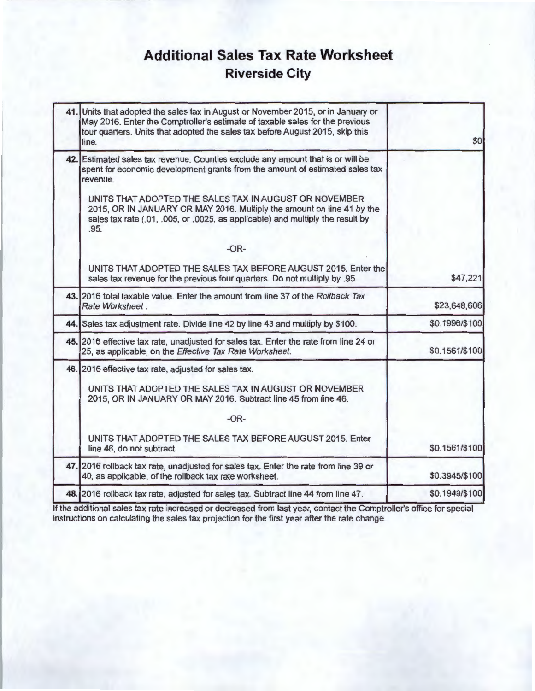## **Additional Sales Tax Rate Worksheet Riverside City**

| \$0            | Units that adopted the sales tax in August or November 2015, or in January or<br>May 2016. Enter the Comptroller's estimate of taxable sales for the previous<br>four quarters. Units that adopted the sales tax before August 2015, skip this<br>line. | 41.1 |
|----------------|---------------------------------------------------------------------------------------------------------------------------------------------------------------------------------------------------------------------------------------------------------|------|
|                | 42. Estimated sales tax revenue. Counties exclude any amount that is or will be<br>spent for economic development grants from the amount of estimated sales tax<br>revenue.<br>UNITS THAT ADOPTED THE SALES TAX IN AUGUST OR NOVEMBER                   |      |
|                | 2015, OR IN JANUARY OR MAY 2016. Multiply the amount on line 41 by the<br>sales tax rate (.01, .005, or .0025, as applicable) and multiply the result by<br>.95.                                                                                        |      |
|                | $-OR-$                                                                                                                                                                                                                                                  |      |
| \$47,221       | UNITS THAT ADOPTED THE SALES TAX BEFORE AUGUST 2015. Enter the<br>sales tax revenue for the previous four quarters. Do not multiply by .95.                                                                                                             |      |
| \$23,648,606   | 43. 2016 total taxable value. Enter the amount from line 37 of the Rollback Tax<br>Rate Worksheet.                                                                                                                                                      |      |
| \$0.1996/\$100 | 44. Sales tax adjustment rate. Divide line 42 by line 43 and multiply by \$100.                                                                                                                                                                         |      |
| \$0.1561/\$100 | 45. 2016 effective tax rate, unadjusted for sales tax. Enter the rate from line 24 or<br>25, as applicable, on the Effective Tax Rate Worksheet.                                                                                                        |      |
|                | 46. 2016 effective tax rate, adjusted for sales tax.                                                                                                                                                                                                    |      |
|                | UNITS THAT ADOPTED THE SALES TAX IN AUGUST OR NOVEMBER<br>2015, OR IN JANUARY OR MAY 2016. Subtract line 45 from line 46.                                                                                                                               |      |
|                | $-OR-$                                                                                                                                                                                                                                                  |      |
| \$0.1561/\$100 | UNITS THAT ADOPTED THE SALES TAX BEFORE AUGUST 2015. Enter<br>line 46, do not subtract.                                                                                                                                                                 |      |
| \$0.3945/\$100 | 47. 2016 rollback tax rate, unadjusted for sales tax. Enter the rate from line 39 or<br>40, as applicable, of the rollback tax rate worksheet.                                                                                                          |      |
| \$0.1949/\$100 | 48. 2016 rollback tax rate, adjusted for sales tax. Subtract line 44 from line 47.                                                                                                                                                                      |      |
|                |                                                                                                                                                                                                                                                         |      |

If the additional sales tax rate increased or decreased from last year, contact the Comptroller's office for special instructions on calculating the sales tax projection for the first year after the rate change.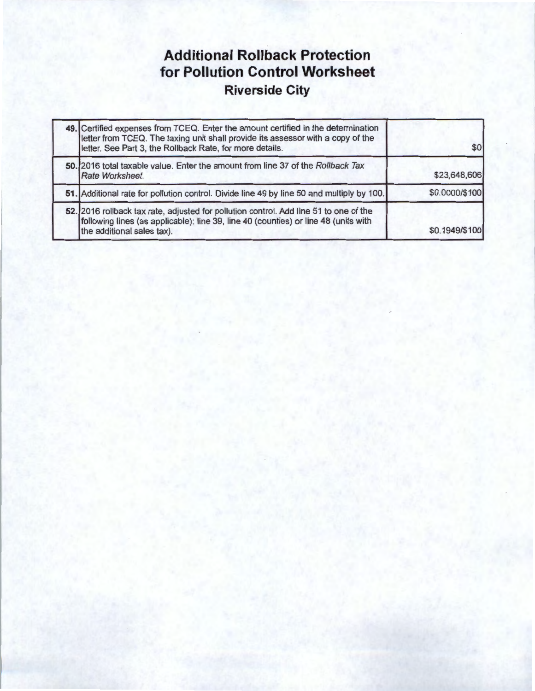## **Additional Rollback Protection for Pollution Control Worksheet Riverside City**

| 49. Certified expenses from TCEQ. Enter the amount certified in the determination<br>letter from TCEQ. The taxing unit shall provide its assessor with a copy of the<br>letter. See Part 3, the Rollback Rate, for more details. | \$0            |
|----------------------------------------------------------------------------------------------------------------------------------------------------------------------------------------------------------------------------------|----------------|
| 50. 2016 total taxable value. Enter the amount from line 37 of the Rollback Tax<br>Rate Worksheet.                                                                                                                               | \$23,648,606   |
| 51. Additional rate for pollution control. Divide line 49 by line 50 and multiply by 100.                                                                                                                                        | \$0.0000/\$100 |
| 52. 2016 rollback tax rate, adjusted for pollution control. Add line 51 to one of the<br>following lines (as applicable): line 39, line 40 (counties) or line 48 (units with<br>the additional sales tax).                       | \$0.1949/\$100 |